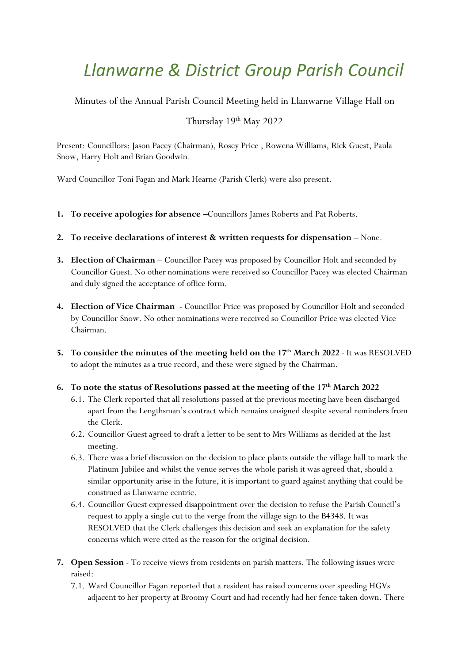# *Llanwarne & District Group Parish Council*

Minutes of the Annual Parish Council Meeting held in Llanwarne Village Hall on

# Thursday 19<sup>th</sup> May 2022

Present: Councillors: Jason Pacey (Chairman), Rosey Price , Rowena Williams, Rick Guest, Paula Snow, Harry Holt and Brian Goodwin.

Ward Councillor Toni Fagan and Mark Hearne (Parish Clerk) were also present.

- **1. To receive apologies for absence –**Councillors James Roberts and Pat Roberts.
- **2. To receive declarations of interest & written requests for dispensation –** None.
- **3. Election of Chairman** Councillor Pacey was proposed by Councillor Holt and seconded by Councillor Guest. No other nominations were received so Councillor Pacey was elected Chairman and duly signed the acceptance of office form.
- **4. Election of Vice Chairman** Councillor Price was proposed by Councillor Holt and seconded by Councillor Snow. No other nominations were received so Councillor Price was elected Vice Chairman.
- **5. To consider the minutes of the meeting held on the 17th March 2022** It was RESOLVED to adopt the minutes as a true record, and these were signed by the Chairman.
- **6. To note the status of Resolutions passed at the meeting of the 17th March 2022** 
	- 6.1. The Clerk reported that all resolutions passed at the previous meeting have been discharged apart from the Lengthsman's contract which remains unsigned despite several reminders from the Clerk.
	- 6.2. Councillor Guest agreed to draft a letter to be sent to Mrs Williams as decided at the last meeting.
	- 6.3. There was a brief discussion on the decision to place plants outside the village hall to mark the Platinum Jubilee and whilst the venue serves the whole parish it was agreed that, should a similar opportunity arise in the future, it is important to guard against anything that could be construed as Llanwarne centric.
	- 6.4. Councillor Guest expressed disappointment over the decision to refuse the Parish Council's request to apply a single cut to the verge from the village sign to the B4348. It was RESOLVED that the Clerk challenges this decision and seek an explanation for the safety concerns which were cited as the reason for the original decision.
- **7. Open Session** To receive views from residents on parish matters. The following issues were raised:
	- 7.1. Ward Councillor Fagan reported that a resident has raised concerns over speeding HGVs adjacent to her property at Broomy Court and had recently had her fence taken down. There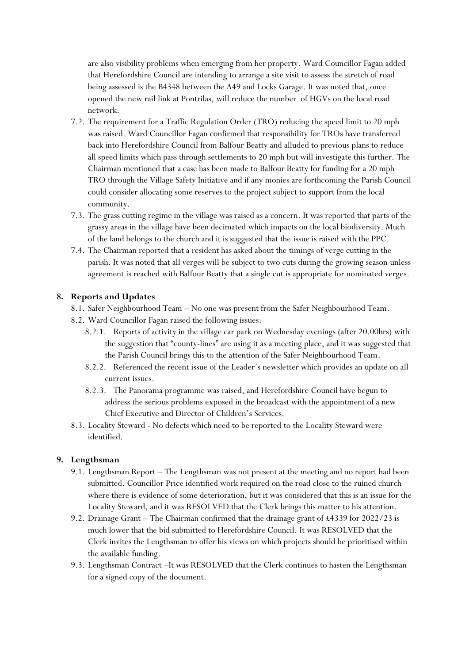are also visibility problems when emerging from her property. Ward Councillor Fagan added that Herefordshire Council are intending to arrange a site visit to assess the stretch of road being assessed is the B4348 between the A49 and Locks Garage. It was noted that, once opened the new rail link at Pontrilas, will reduce the number of HGVs on the local road network.

- 7.2. The requirement for a Traffic Regulation Order (TRO) reducing the speed limit to 20 mph was raised. Ward Councillor Fagan confirmed that responsibility for TROs have transferred back into Herefordshire Council from Balfour Beatty and alluded to previous plans to reduce all speed limits which pass through settlements to 20 mph but will investigate this further. The Chairman mentioned that a case has been made to Balfour Beatty for funding for a 20 mph TRO through the Village Safety Initiative and if any monies are forthcoming the Parish Council could consider allocating some reserves to the project subject to support from the local community.
- 7.3. The grass cutting regime in the village was raised as a concern. It was reported that parts of the grassy areas in the village have been decimated which impacts on the local biodiversity. Much of the land belongs to the church and it is suggested that the issue is raised with the PPC.
- 7.4. The Chairman reported that a resident has asked about the timings of verge cutting in the parish. It was noted that all verges will be subject to two cuts during the growing season unless agreement is reached with Balfour Beatty that a single cut is appropriate for nominated verges.

# **8. Reports and Updates**

- 8.1. Safer Neighbourhood Team No one was present from the Safer Neighbourhood Team.
- 8.2. Ward Councillor Fagan raised the following issues:
	- 8.2.1. Reports of activity in the village car park on Wednesday evenings (after 20.00hrs) with the suggestion that "county-lines" are using it as a meeting place, and it was suggested that the Parish Council brings this to the attention of the Safer Neighbourhood Team.
	- 8.2.2. Referenced the recent issue of the Leader's newsletter which provides an update on all current issues.
	- 8.2.3. The Panorama programme was raised, and Herefordshire Council have begun to address the serious problems exposed in the broadcast with the appointment of a new Chief Executive and Director of Children's Services.
- 8.3. Locality Steward No defects which need to be reported to the Locality Steward were identified.

#### **9. Lengthsman**

- 9.1. Lengthsman Report The Lengthsman was not present at the meeting and no report had been submitted. Councillor Price identified work required on the road close to the ruined church where there is evidence of some deterioration, but it was considered that this is an issue for the Locality Steward, and it was RESOLVED that the Clerk brings this matter to his attention.
- 9.2. Drainage Grant The Chairman confirmed that the drainage grant of £4339 for 2022/23 is much lower that the bid submitted to Herefordshire Council. It was RESOLVED that the Clerk invites the Lengthsman to offer his views on which projects should be prioritised within the available funding.
- 9.3. Lengthsman Contract –It was RESOLVED that the Clerk continues to hasten the Lengthsman for a signed copy of the document.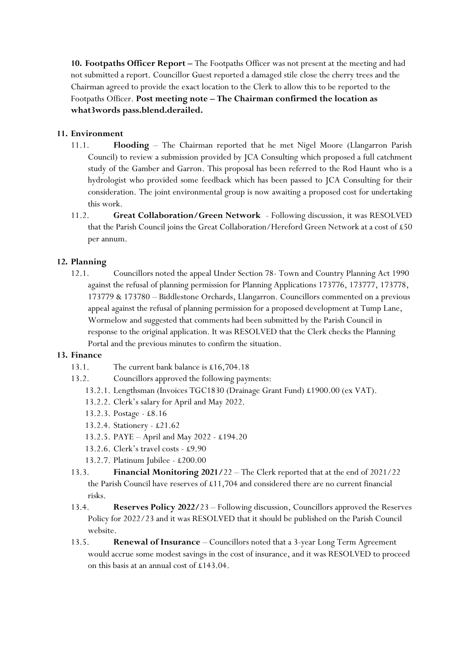**10. Footpaths Officer Report –** The Footpaths Officer was not present at the meeting and had not submitted a report. Councillor Guest reported a damaged stile close the cherry trees and the Chairman agreed to provide the exact location to the Clerk to allow this to be reported to the Footpaths Officer. **Post meeting note – The Chairman confirmed the location as what3words pass.blend.derailed.**

## **11. Environment**

- 11.1. **Flooding** The Chairman reported that he met Nigel Moore (Llangarron Parish Council) to review a submission provided by JCA Consulting which proposed a full catchment study of the Gamber and Garron. This proposal has been referred to the Rod Haunt who is a hydrologist who provided some feedback which has been passed to JCA Consulting for their consideration. The joint environmental group is now awaiting a proposed cost for undertaking this work.
- 11.2. **Great Collaboration/Green Network**  Following discussion, it was RESOLVED that the Parish Council joins the Great Collaboration/Hereford Green Network at a cost of £50 per annum.

### **12. Planning**

12.1. Councillors noted the appeal Under Section 78- Town and Country Planning Act 1990 against the refusal of planning permission for Planning Applications 173776, 173777, 173778, 173779 & 173780 – Biddlestone Orchards, Llangarron. Councillors commented on a previous appeal against the refusal of planning permission for a proposed development at Tump Lane, Wormelow and suggested that comments had been submitted by the Parish Council in response to the original application. It was RESOLVED that the Clerk checks the Planning Portal and the previous minutes to confirm the situation.

#### **13. Finance**

- 13.1. The current bank balance is £16,704.18
- 13.2. Councillors approved the following payments:
	- 13.2.1. Lengthsman (Invoices TGC1830 (Drainage Grant Fund) £1900.00 (ex VAT).
	- 13.2.2. Clerk's salary for April and May 2022.
	- 13.2.3. Postage £8.16
	- 13.2.4. Stationery £21.62
	- 13.2.5. PAYE April and May 2022 £194.20
	- 13.2.6. Clerk's travel costs £9.90
	- 13.2.7. Platinum Jubilee £200.00
- 13.3. **Financial Monitoring 2021/**22 The Clerk reported that at the end of 2021/22 the Parish Council have reserves of £11,704 and considered there are no current financial risks.
- 13.4. **Reserves Policy 2022/**23 Following discussion, Councillors approved the Reserves Policy for 2022/23 and it was RESOLVED that it should be published on the Parish Council website.
- 13.5. **Renewal of Insurance** Councillors noted that a 3-year Long Term Agreement would accrue some modest savings in the cost of insurance, and it was RESOLVED to proceed on this basis at an annual cost of £143.04.